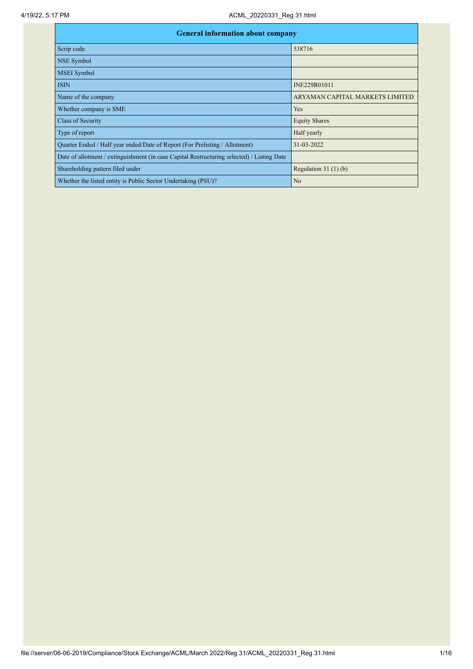| <b>General information about company</b>                                                   |                                 |  |  |  |  |  |
|--------------------------------------------------------------------------------------------|---------------------------------|--|--|--|--|--|
| Scrip code                                                                                 | 538716                          |  |  |  |  |  |
| <b>NSE Symbol</b>                                                                          |                                 |  |  |  |  |  |
| <b>MSEI</b> Symbol                                                                         |                                 |  |  |  |  |  |
| <b>ISIN</b>                                                                                | INE229R01011                    |  |  |  |  |  |
| Name of the company                                                                        | ARYAMAN CAPITAL MARKETS LIMITED |  |  |  |  |  |
| Whether company is SME                                                                     | Yes                             |  |  |  |  |  |
| Class of Security                                                                          | <b>Equity Shares</b>            |  |  |  |  |  |
| Type of report                                                                             | Half yearly                     |  |  |  |  |  |
| Quarter Ended / Half year ended/Date of Report (For Prelisting / Allotment)                | 31-03-2022                      |  |  |  |  |  |
| Date of allotment / extinguishment (in case Capital Restructuring selected) / Listing Date |                                 |  |  |  |  |  |
| Shareholding pattern filed under                                                           | Regulation $31(1)(b)$           |  |  |  |  |  |
| Whether the listed entity is Public Sector Undertaking (PSU)?                              | No                              |  |  |  |  |  |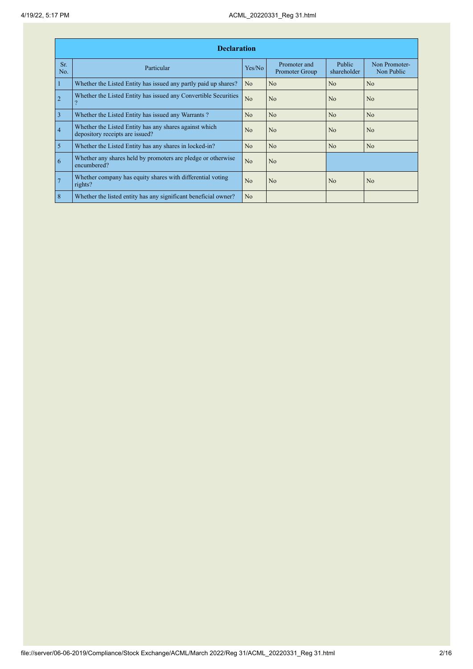|                | <b>Declaration</b>                                                                        |                |                                |                       |                             |  |  |  |  |  |
|----------------|-------------------------------------------------------------------------------------------|----------------|--------------------------------|-----------------------|-----------------------------|--|--|--|--|--|
| Sr.<br>No.     | Particular                                                                                | Yes/No         | Promoter and<br>Promoter Group | Public<br>shareholder | Non Promoter-<br>Non Public |  |  |  |  |  |
| $\mathbf{1}$   | Whether the Listed Entity has issued any partly paid up shares?                           | N <sub>o</sub> | No                             | No                    | No                          |  |  |  |  |  |
| $\overline{2}$ | Whether the Listed Entity has issued any Convertible Securities                           | N <sub>o</sub> | N <sub>0</sub>                 | N <sub>o</sub>        | No                          |  |  |  |  |  |
| $\overline{3}$ | Whether the Listed Entity has issued any Warrants?                                        | N <sub>o</sub> | No                             | No                    | No                          |  |  |  |  |  |
| $\overline{4}$ | Whether the Listed Entity has any shares against which<br>depository receipts are issued? | N <sub>0</sub> | N <sub>0</sub>                 | N <sub>o</sub>        | N <sub>o</sub>              |  |  |  |  |  |
| $\overline{5}$ | Whether the Listed Entity has any shares in locked-in?                                    | N <sub>o</sub> | No                             | No                    | No                          |  |  |  |  |  |
| 6              | Whether any shares held by promoters are pledge or otherwise<br>encumbered?               | No             | N <sub>0</sub>                 |                       |                             |  |  |  |  |  |
| $\overline{7}$ | Whether company has equity shares with differential voting<br>rights?                     | N <sub>0</sub> | N <sub>0</sub>                 | N <sub>o</sub>        | No                          |  |  |  |  |  |
| 8              | Whether the listed entity has any significant beneficial owner?                           | No             |                                |                       |                             |  |  |  |  |  |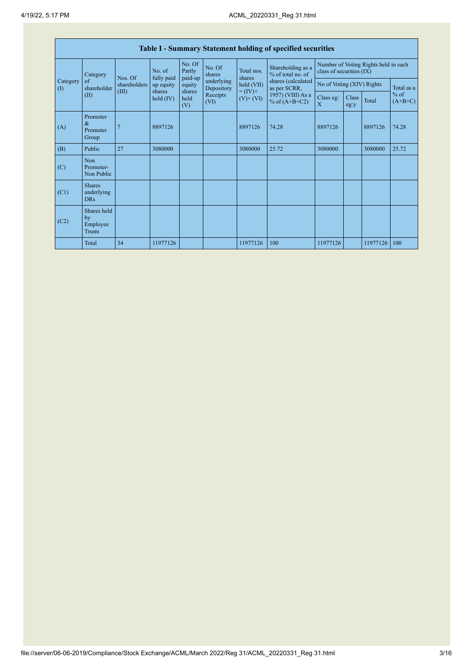| Table I - Summary Statement holding of specified securities |                                                                                                                                                                                                                                                                                                                                                                                                             |                   |                |               |       |                     |                                         |                                                                  |  |          |            |
|-------------------------------------------------------------|-------------------------------------------------------------------------------------------------------------------------------------------------------------------------------------------------------------------------------------------------------------------------------------------------------------------------------------------------------------------------------------------------------------|-------------------|----------------|---------------|-------|---------------------|-----------------------------------------|------------------------------------------------------------------|--|----------|------------|
| Category<br>$\left( \mathrm{I}\right)$                      | No. Of<br>No. Of<br>Partly<br>No. of<br>Total nos.<br>% of total no. of<br>Category<br>shares<br>Nos. Of<br>fully paid<br>paid-up<br>shares<br>underlying<br>of<br>held (VII)<br>shareholders<br>equity<br>up equity<br>as per SCRR,<br>shareholder<br>Depository<br>(III)<br>$= (IV) +$<br>shares<br>shares<br>Receipts<br>(II)<br>held<br>held $(IV)$<br>$(V)$ + $(VI)$<br>% of $(A+B+C2)$<br>(VI)<br>(V) |                   |                |               |       |                     | Shareholding as a<br>shares (calculated | Number of Voting Rights held in each<br>class of securities (IX) |  |          |            |
|                                                             |                                                                                                                                                                                                                                                                                                                                                                                                             |                   |                |               |       |                     |                                         | No of Voting (XIV) Rights                                        |  |          | Total as a |
|                                                             |                                                                                                                                                                                                                                                                                                                                                                                                             | 1957) (VIII) As a | Class eg:<br>X | Class<br>eg:y | Total | $%$ of<br>$(A+B+C)$ |                                         |                                                                  |  |          |            |
| (A)                                                         | Promoter<br>&<br>Promoter<br>Group                                                                                                                                                                                                                                                                                                                                                                          | 7                 | 8897126        |               |       | 8897126             | 74.28                                   | 8897126                                                          |  | 8897126  | 74.28      |
| (B)                                                         | Public                                                                                                                                                                                                                                                                                                                                                                                                      | 27                | 3080000        |               |       | 3080000             | 25.72                                   | 3080000                                                          |  | 3080000  | 25.72      |
| (C)                                                         | <b>Non</b><br>Promoter-<br>Non Public                                                                                                                                                                                                                                                                                                                                                                       |                   |                |               |       |                     |                                         |                                                                  |  |          |            |
| (C1)                                                        | <b>Shares</b><br>underlying<br><b>DRs</b>                                                                                                                                                                                                                                                                                                                                                                   |                   |                |               |       |                     |                                         |                                                                  |  |          |            |
| (C2)                                                        | Shares held<br>by<br>Employee<br><b>Trusts</b>                                                                                                                                                                                                                                                                                                                                                              |                   |                |               |       |                     |                                         |                                                                  |  |          |            |
|                                                             | Total                                                                                                                                                                                                                                                                                                                                                                                                       | 34                | 11977126       |               |       | 11977126            | 100                                     | 11977126                                                         |  | 11977126 | 100        |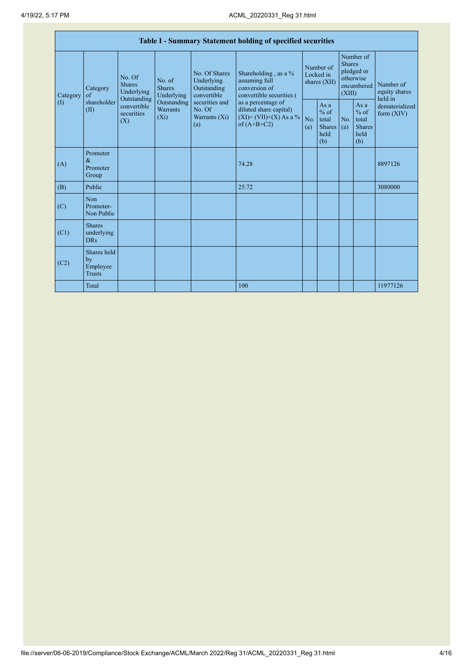| Table I - Summary Statement holding of specified securities |                                                |                                                 |                                           |                                                           |                                                                                                                                                                                  |                                        |                                                         |                                                                               |                                                         |                                       |
|-------------------------------------------------------------|------------------------------------------------|-------------------------------------------------|-------------------------------------------|-----------------------------------------------------------|----------------------------------------------------------------------------------------------------------------------------------------------------------------------------------|----------------------------------------|---------------------------------------------------------|-------------------------------------------------------------------------------|---------------------------------------------------------|---------------------------------------|
| Category                                                    | Category<br>$\alpha$ f                         | No. Of<br><b>Shares</b><br>Underlying           | No. of<br><b>Shares</b><br>Underlying     | No. Of Shares<br>Underlying<br>Outstanding<br>convertible | Shareholding, as a %<br>assuming full<br>conversion of<br>convertible securities (<br>as a percentage of<br>diluted share capital)<br>$(XI) = (VII)+(X) As a %$<br>of $(A+B+C2)$ | Number of<br>Locked in<br>shares (XII) |                                                         | Number of<br><b>Shares</b><br>pledged or<br>otherwise<br>encumbered<br>(XIII) |                                                         | Number of<br>equity shares<br>held in |
| (1)                                                         | shareholder<br>(II)                            | Outstanding<br>convertible<br>securities<br>(X) | Outstanding<br><b>Warrants</b><br>$(X_i)$ | securities and<br>No. Of<br>Warrants (Xi)<br>(a)          |                                                                                                                                                                                  | No.<br>(a)                             | As a<br>$%$ of<br>total<br><b>Shares</b><br>held<br>(b) | No.<br>(a)                                                                    | As a<br>$%$ of<br>total<br><b>Shares</b><br>held<br>(b) | dematerialized<br>form $(XIV)$        |
| (A)                                                         | Promoter<br>$\&$<br>Promoter<br>Group          |                                                 |                                           |                                                           | 74.28                                                                                                                                                                            |                                        |                                                         |                                                                               |                                                         | 8897126                               |
| (B)                                                         | Public                                         |                                                 |                                           |                                                           | 25.72                                                                                                                                                                            |                                        |                                                         |                                                                               |                                                         | 3080000                               |
| (C)                                                         | Non<br>Promoter-<br>Non Public                 |                                                 |                                           |                                                           |                                                                                                                                                                                  |                                        |                                                         |                                                                               |                                                         |                                       |
| (C1)                                                        | <b>Shares</b><br>underlying<br><b>DRs</b>      |                                                 |                                           |                                                           |                                                                                                                                                                                  |                                        |                                                         |                                                                               |                                                         |                                       |
| (C2)                                                        | Shares held<br>by<br>Employee<br><b>Trusts</b> |                                                 |                                           |                                                           |                                                                                                                                                                                  |                                        |                                                         |                                                                               |                                                         |                                       |
|                                                             | Total                                          |                                                 |                                           |                                                           | 100                                                                                                                                                                              |                                        |                                                         |                                                                               |                                                         | 11977126                              |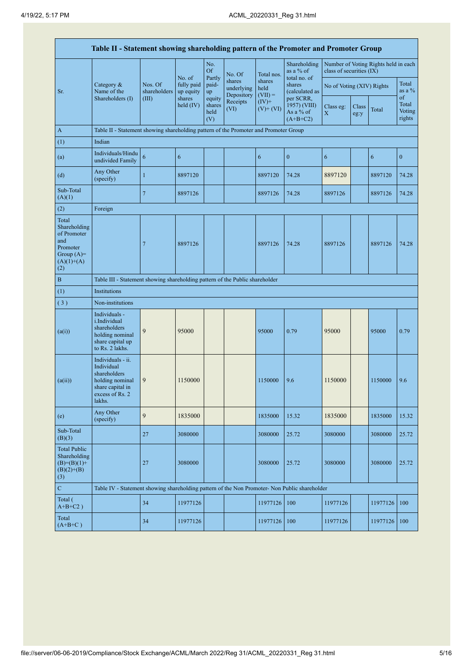| Table II - Statement showing shareholding pattern of the Promoter and Promoter Group           |                                                                                                                     |                         |                                   |                                 |                                    |                             |                                                      |                           |               |                                      |                           |
|------------------------------------------------------------------------------------------------|---------------------------------------------------------------------------------------------------------------------|-------------------------|-----------------------------------|---------------------------------|------------------------------------|-----------------------------|------------------------------------------------------|---------------------------|---------------|--------------------------------------|---------------------------|
|                                                                                                |                                                                                                                     |                         | No. of<br>fully paid<br>up equity | No.<br><b>Of</b><br>Partly      | No. Of                             | Total nos.                  | Shareholding<br>as a % of<br>total no. of            | class of securities (IX)  |               | Number of Voting Rights held in each |                           |
| Sr.                                                                                            | Category $\&$<br>Name of the<br>Shareholders (I)                                                                    | Nos. Of<br>shareholders |                                   | paid-<br>up                     | shares<br>underlying<br>Depository | shares<br>held<br>$(VII) =$ | shares<br>(calculated as                             | No of Voting (XIV) Rights |               |                                      | Total<br>as a $\%$<br>of  |
|                                                                                                |                                                                                                                     | (III)                   | shares<br>held $(IV)$             | equity<br>shares<br>held<br>(V) | Receipts<br>(VI)                   | $(IV)$ +<br>$(V)$ + $(VI)$  | per SCRR,<br>1957) (VIII)<br>As a % of<br>$(A+B+C2)$ | Class eg:<br>$\mathbf X$  | Class<br>eg:y | Total                                | Total<br>Voting<br>rights |
| A                                                                                              | Table II - Statement showing shareholding pattern of the Promoter and Promoter Group                                |                         |                                   |                                 |                                    |                             |                                                      |                           |               |                                      |                           |
| (1)                                                                                            | Indian                                                                                                              |                         |                                   |                                 |                                    |                             |                                                      |                           |               |                                      |                           |
| (a)                                                                                            | Individuals/Hindu<br>undivided Family                                                                               | $\boldsymbol{6}$        | 6                                 |                                 |                                    | 6                           | $\mathbf{0}$                                         | 6                         |               | 6                                    | $\boldsymbol{0}$          |
| (d)                                                                                            | Any Other<br>(specify)                                                                                              | $\mathbf{1}$            | 8897120                           |                                 |                                    | 8897120                     | 74.28                                                | 8897120                   |               | 8897120                              | 74.28                     |
| Sub-Total<br>(A)(1)                                                                            |                                                                                                                     | $\overline{7}$          | 8897126                           |                                 |                                    | 8897126                     | 74.28                                                | 8897126                   |               | 8897126                              | 74.28                     |
| (2)                                                                                            | Foreign                                                                                                             |                         |                                   |                                 |                                    |                             |                                                      |                           |               |                                      |                           |
| Total<br>Shareholding<br>of Promoter<br>and<br>Promoter<br>Group $(A)=$<br>$(A)(1)+(A)$<br>(2) |                                                                                                                     | $\overline{7}$          | 8897126                           |                                 |                                    | 8897126                     | 74.28                                                | 8897126                   |               | 8897126                              | 74.28                     |
| $\, {\bf B}$                                                                                   | Table III - Statement showing shareholding pattern of the Public shareholder                                        |                         |                                   |                                 |                                    |                             |                                                      |                           |               |                                      |                           |
| (1)                                                                                            | Institutions                                                                                                        |                         |                                   |                                 |                                    |                             |                                                      |                           |               |                                      |                           |
| (3)                                                                                            | Non-institutions                                                                                                    |                         |                                   |                                 |                                    |                             |                                                      |                           |               |                                      |                           |
| (a(i))                                                                                         | Individuals -<br>i.Individual<br>shareholders<br>holding nominal<br>share capital up<br>to Rs. 2 lakhs.             | 9                       | 95000                             |                                 |                                    | 95000                       | 0.79                                                 | 95000                     |               | 95000                                | 0.79                      |
| (a(ii))                                                                                        | Individuals - ii.<br>Individual<br>shareholders<br>holding nominal<br>share capital in<br>excess of Rs. 2<br>lakhs. | 9                       | 1150000                           |                                 |                                    | 1150000                     | 9.6                                                  | 1150000                   |               | 1150000                              | 9.6                       |
| (e)                                                                                            | Any Other<br>(specify)                                                                                              | 9                       | 1835000                           |                                 |                                    | 1835000                     | 15.32                                                | 1835000                   |               | 1835000                              | 15.32                     |
| Sub-Total<br>(B)(3)                                                                            |                                                                                                                     | 27                      | 3080000                           |                                 |                                    | 3080000                     | 25.72                                                | 3080000                   |               | 3080000                              | 25.72                     |
| <b>Total Public</b><br>Shareholding<br>$(B)=(B)(1)+$<br>$(B)(2)+(B)$<br>(3)                    |                                                                                                                     | 27                      | 3080000                           |                                 |                                    | 3080000                     | 25.72                                                | 3080000                   |               | 3080000                              | 25.72                     |
| ${\bf C}$                                                                                      | Table IV - Statement showing shareholding pattern of the Non Promoter- Non Public shareholder                       |                         |                                   |                                 |                                    |                             |                                                      |                           |               |                                      |                           |
| Total (<br>$A+B+C2$ )                                                                          |                                                                                                                     | 34                      | 11977126                          |                                 |                                    | 11977126                    | 100                                                  | 11977126                  |               | 11977126                             | 100                       |
| Total<br>$(A+B+C)$                                                                             |                                                                                                                     | 34                      | 11977126                          |                                 |                                    | 11977126                    | 100                                                  | 11977126                  |               | 11977126                             | 100                       |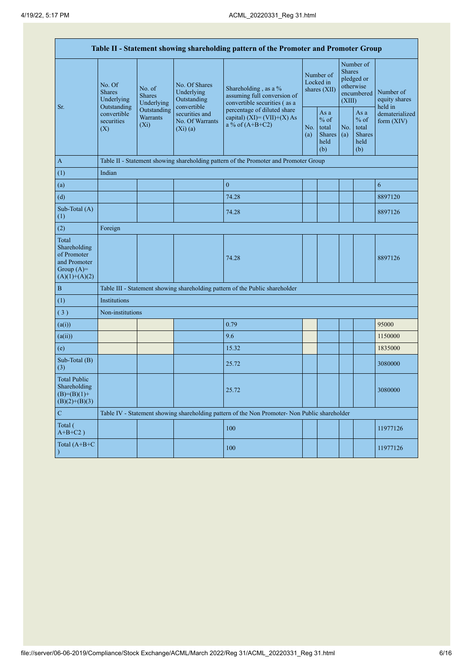| Table II - Statement showing shareholding pattern of the Promoter and Promoter Group    |                                                                                                                                                                                          |                                                           |                                                                                     |                                                                                               |                                                  |            |                                                                               |                                       |          |
|-----------------------------------------------------------------------------------------|------------------------------------------------------------------------------------------------------------------------------------------------------------------------------------------|-----------------------------------------------------------|-------------------------------------------------------------------------------------|-----------------------------------------------------------------------------------------------|--------------------------------------------------|------------|-------------------------------------------------------------------------------|---------------------------------------|----------|
| Sr.                                                                                     | No. Of<br>No. of<br><b>Shares</b><br><b>Shares</b><br>Underlying<br>Underlying<br>Outstanding<br>Outstanding<br>convertible<br><b>Warrants</b><br>securities<br>(X <sub>i</sub> )<br>(X) | No. Of Shares<br>Underlying<br>Outstanding<br>convertible | Shareholding, as a %<br>assuming full conversion of<br>convertible securities (as a |                                                                                               | Number of<br>Locked in<br>shares (XII)           |            | Number of<br><b>Shares</b><br>pledged or<br>otherwise<br>encumbered<br>(XIII) | Number of<br>equity shares<br>held in |          |
|                                                                                         |                                                                                                                                                                                          | securities and<br>No. Of Warrants<br>$(Xi)$ (a)           | percentage of diluted share<br>capital) $(XI) = (VII)+(X) As$<br>a % of $(A+B+C2)$  | No.<br>(a)                                                                                    | As a<br>$%$ of<br>total<br>Shares<br>held<br>(b) | No.<br>(a) | As a<br>$%$ of<br>total<br><b>Shares</b><br>held<br>(b)                       | dematerialized<br>form $(XIV)$        |          |
| $\mathbf{A}$                                                                            |                                                                                                                                                                                          |                                                           |                                                                                     | Table II - Statement showing shareholding pattern of the Promoter and Promoter Group          |                                                  |            |                                                                               |                                       |          |
| (1)                                                                                     | Indian                                                                                                                                                                                   |                                                           |                                                                                     |                                                                                               |                                                  |            |                                                                               |                                       |          |
| (a)                                                                                     |                                                                                                                                                                                          |                                                           |                                                                                     | $\mathbf{0}$                                                                                  |                                                  |            |                                                                               |                                       | 6        |
| (d)                                                                                     |                                                                                                                                                                                          |                                                           |                                                                                     | 74.28                                                                                         |                                                  |            |                                                                               |                                       | 8897120  |
| Sub-Total (A)<br>(1)                                                                    |                                                                                                                                                                                          |                                                           |                                                                                     | 74.28                                                                                         |                                                  |            |                                                                               |                                       | 8897126  |
| (2)                                                                                     | Foreign                                                                                                                                                                                  |                                                           |                                                                                     |                                                                                               |                                                  |            |                                                                               |                                       |          |
| Total<br>Shareholding<br>of Promoter<br>and Promoter<br>Group $(A)=$<br>$(A)(1)+(A)(2)$ |                                                                                                                                                                                          |                                                           |                                                                                     | 74.28                                                                                         |                                                  |            |                                                                               |                                       | 8897126  |
| $\, {\bf B}$                                                                            |                                                                                                                                                                                          |                                                           |                                                                                     | Table III - Statement showing shareholding pattern of the Public shareholder                  |                                                  |            |                                                                               |                                       |          |
| (1)                                                                                     | <b>Institutions</b>                                                                                                                                                                      |                                                           |                                                                                     |                                                                                               |                                                  |            |                                                                               |                                       |          |
| (3)                                                                                     | Non-institutions                                                                                                                                                                         |                                                           |                                                                                     |                                                                                               |                                                  |            |                                                                               |                                       |          |
| (a(i))                                                                                  |                                                                                                                                                                                          |                                                           |                                                                                     | 0.79                                                                                          |                                                  |            |                                                                               |                                       | 95000    |
| (a(ii))                                                                                 |                                                                                                                                                                                          |                                                           |                                                                                     | 9.6                                                                                           |                                                  |            |                                                                               |                                       | 1150000  |
| (e)                                                                                     |                                                                                                                                                                                          |                                                           |                                                                                     | 15.32                                                                                         |                                                  |            |                                                                               |                                       | 1835000  |
| Sub-Total (B)<br>(3)                                                                    |                                                                                                                                                                                          |                                                           |                                                                                     | 25.72                                                                                         |                                                  |            |                                                                               |                                       | 3080000  |
| <b>Total Public</b><br>Shareholding<br>$(B)=(B)(1)+$<br>$(B)(2)+(B)(3)$                 |                                                                                                                                                                                          |                                                           |                                                                                     | 25.72                                                                                         |                                                  |            |                                                                               |                                       | 3080000  |
| $\mathbf C$                                                                             |                                                                                                                                                                                          |                                                           |                                                                                     | Table IV - Statement showing shareholding pattern of the Non Promoter- Non Public shareholder |                                                  |            |                                                                               |                                       |          |
| Total (<br>$A+B+C2$ )                                                                   |                                                                                                                                                                                          |                                                           |                                                                                     | 100                                                                                           |                                                  |            |                                                                               |                                       | 11977126 |
| Total (A+B+C                                                                            |                                                                                                                                                                                          |                                                           |                                                                                     | 100                                                                                           |                                                  |            |                                                                               |                                       | 11977126 |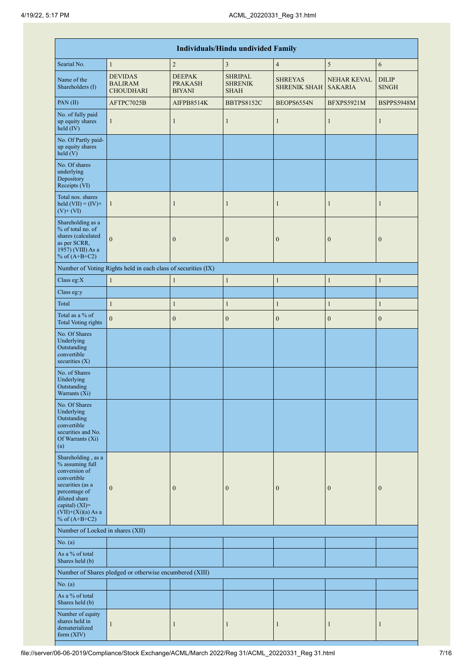| <b>Individuals/Hindu undivided Family</b>                                                                                                                                                |                                                               |                                                  |                                                 |                                       |                                      |                              |  |  |  |  |
|------------------------------------------------------------------------------------------------------------------------------------------------------------------------------------------|---------------------------------------------------------------|--------------------------------------------------|-------------------------------------------------|---------------------------------------|--------------------------------------|------------------------------|--|--|--|--|
| Searial No.                                                                                                                                                                              | $\mathbf{1}$                                                  | $\overline{2}$                                   | 3                                               | $\overline{4}$                        | 5                                    | $\sqrt{6}$                   |  |  |  |  |
| Name of the<br>Shareholders (I)                                                                                                                                                          | <b>DEVIDAS</b><br><b>BALIRAM</b><br><b>CHOUDHARI</b>          | <b>DEEPAK</b><br><b>PRAKASH</b><br><b>BIYANI</b> | <b>SHRIPAL</b><br><b>SHRENIK</b><br><b>SHAH</b> | <b>SHREYAS</b><br><b>SHRENIK SHAH</b> | <b>NEHAR KEVAL</b><br><b>SAKARIA</b> | <b>DILIP</b><br><b>SINGH</b> |  |  |  |  |
| PAN (II)                                                                                                                                                                                 | AFTPC7025B                                                    | AIFPB8514K                                       | <b>BBTPS8152C</b>                               | BEOPS6554N                            | BFXPS5921M                           | <b>BSPPS5948M</b>            |  |  |  |  |
| No. of fully paid<br>up equity shares<br>$\text{held} (IV)$                                                                                                                              | $\mathbf{1}$                                                  | $\mathbf{1}$                                     | $\mathbf{1}$                                    | $\mathbf{1}$                          | $\mathbf{1}$                         | $\mathbf{1}$                 |  |  |  |  |
| No. Of Partly paid-<br>up equity shares<br>$\text{held} (V)$                                                                                                                             |                                                               |                                                  |                                                 |                                       |                                      |                              |  |  |  |  |
| No. Of shares<br>underlying<br>Depository<br>Receipts (VI)                                                                                                                               |                                                               |                                                  |                                                 |                                       |                                      |                              |  |  |  |  |
| Total nos. shares<br>held $(VII) = (IV) +$<br>$(V)+(VI)$                                                                                                                                 | $\mathbf{1}$                                                  | $\mathbf{1}$                                     | 1                                               | $\mathbf{1}$                          | $\mathbf{1}$                         | 1                            |  |  |  |  |
| Shareholding as a<br>% of total no. of<br>shares (calculated<br>as per SCRR,<br>1957) (VIII) As a<br>% of $(A+B+C2)$                                                                     | $\mathbf{0}$                                                  | $\boldsymbol{0}$                                 | $\boldsymbol{0}$                                | $\boldsymbol{0}$                      | $\boldsymbol{0}$                     | $\boldsymbol{0}$             |  |  |  |  |
|                                                                                                                                                                                          | Number of Voting Rights held in each class of securities (IX) |                                                  |                                                 |                                       |                                      |                              |  |  |  |  |
| Class eg:X                                                                                                                                                                               | $\mathbf{1}$                                                  | $\mathbf{1}$                                     | $\mathbf{1}$                                    | $\mathbf{1}$                          | $\mathbf{1}$                         | $\mathbf{1}$                 |  |  |  |  |
| Class eg:y                                                                                                                                                                               |                                                               |                                                  |                                                 |                                       |                                      |                              |  |  |  |  |
| Total                                                                                                                                                                                    | $\mathbf{1}$                                                  | $\mathbf{1}$                                     | $\mathbf{1}$                                    | $\mathbf{1}$                          | $\mathbf{1}$                         | $\mathbf{1}$                 |  |  |  |  |
| Total as a % of<br><b>Total Voting rights</b>                                                                                                                                            | $\mathbf{0}$                                                  | $\boldsymbol{0}$                                 | $\boldsymbol{0}$                                | $\boldsymbol{0}$                      | $\boldsymbol{0}$                     | $\boldsymbol{0}$             |  |  |  |  |
| No. Of Shares<br>Underlying<br>Outstanding<br>convertible<br>securities $(X)$                                                                                                            |                                                               |                                                  |                                                 |                                       |                                      |                              |  |  |  |  |
| No. of Shares<br>Underlying<br>Outstanding<br>Warrants (Xi)                                                                                                                              |                                                               |                                                  |                                                 |                                       |                                      |                              |  |  |  |  |
| No. Of Shares<br>Underlying<br>Outstanding<br>convertible<br>securities and No.<br>Of Warrants (Xi)<br>(a)                                                                               |                                                               |                                                  |                                                 |                                       |                                      |                              |  |  |  |  |
| Shareholding, as a<br>% assuming full<br>conversion of<br>convertible<br>securities (as a<br>percentage of<br>diluted share<br>capital) (XI)=<br>$(VII)+(Xi)(a)$ As a<br>% of $(A+B+C2)$ | $\mathbf{0}$                                                  | $\mathbf{0}$                                     | $\boldsymbol{0}$                                | $\mathbf{0}$                          | $\boldsymbol{0}$                     | $\boldsymbol{0}$             |  |  |  |  |
| Number of Locked in shares (XII)                                                                                                                                                         |                                                               |                                                  |                                                 |                                       |                                      |                              |  |  |  |  |
| No. $(a)$                                                                                                                                                                                |                                                               |                                                  |                                                 |                                       |                                      |                              |  |  |  |  |
| As a % of total<br>Shares held (b)                                                                                                                                                       |                                                               |                                                  |                                                 |                                       |                                      |                              |  |  |  |  |
|                                                                                                                                                                                          | Number of Shares pledged or otherwise encumbered (XIII)       |                                                  |                                                 |                                       |                                      |                              |  |  |  |  |
| No. $(a)$                                                                                                                                                                                |                                                               |                                                  |                                                 |                                       |                                      |                              |  |  |  |  |
| As a % of total<br>Shares held (b)                                                                                                                                                       |                                                               |                                                  |                                                 |                                       |                                      |                              |  |  |  |  |
| Number of equity<br>shares held in<br>dematerialized<br>form (XIV)                                                                                                                       | $\mathbf{1}$                                                  | $\mathbf{1}$                                     | 1                                               | $\mathbf{1}$                          | $\mathbf{1}$                         | $\mathbf{1}$                 |  |  |  |  |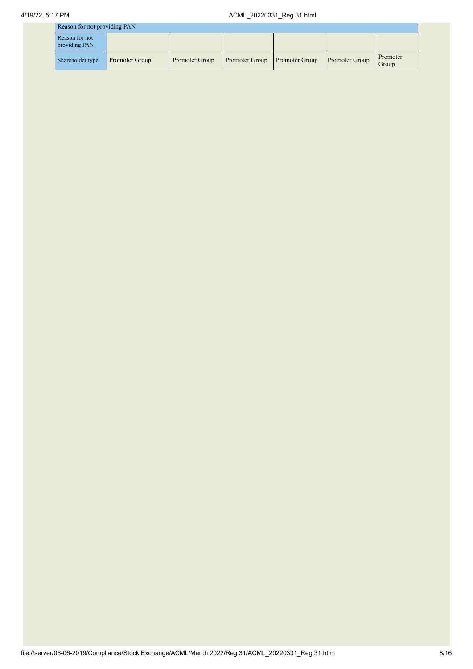| Reason for not providing PAN |  |  |  |
|------------------------------|--|--|--|
|                              |  |  |  |

| Reason for not providing PAIN   |                |                |                |                |                       |                   |  |  |
|---------------------------------|----------------|----------------|----------------|----------------|-----------------------|-------------------|--|--|
| Reason for not<br>providing PAN |                |                |                |                |                       |                   |  |  |
| Shareholder type                | Promoter Group | Promoter Group | Promoter Group | Promoter Group | <b>Promoter Group</b> | Promoter<br>Group |  |  |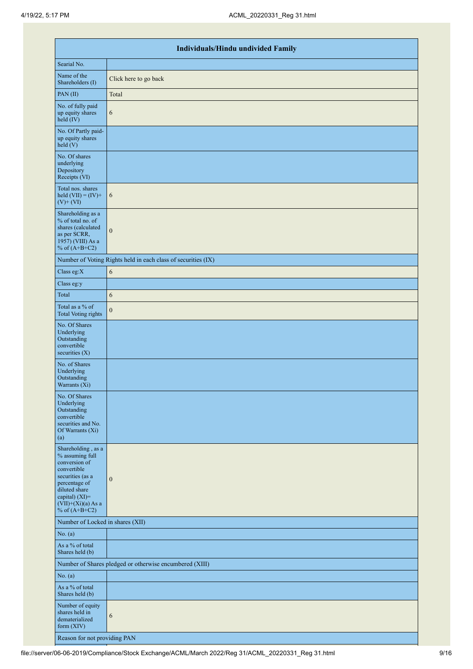|                                                                                                                                                                                          | <b>Individuals/Hindu undivided Family</b>                     |  |  |  |  |  |  |  |  |
|------------------------------------------------------------------------------------------------------------------------------------------------------------------------------------------|---------------------------------------------------------------|--|--|--|--|--|--|--|--|
| Searial No.                                                                                                                                                                              |                                                               |  |  |  |  |  |  |  |  |
| Name of the<br>Shareholders (I)                                                                                                                                                          | Click here to go back                                         |  |  |  |  |  |  |  |  |
| PAN (II)                                                                                                                                                                                 | Total                                                         |  |  |  |  |  |  |  |  |
| No. of fully paid<br>up equity shares<br>$\text{held}(\text{IV})$                                                                                                                        | 6                                                             |  |  |  |  |  |  |  |  |
| No. Of Partly paid-<br>up equity shares<br>$\text{held} (V)$                                                                                                                             |                                                               |  |  |  |  |  |  |  |  |
| No. Of shares<br>underlying<br>Depository<br>Receipts (VI)                                                                                                                               |                                                               |  |  |  |  |  |  |  |  |
| Total nos. shares<br>held $(VII) = (IV) +$<br>$(V)$ + $(VI)$                                                                                                                             | 6                                                             |  |  |  |  |  |  |  |  |
| Shareholding as a<br>% of total no. of<br>shares (calculated<br>as per SCRR,<br>1957) (VIII) As a<br>% of $(A+B+C2)$                                                                     | $\boldsymbol{0}$                                              |  |  |  |  |  |  |  |  |
|                                                                                                                                                                                          | Number of Voting Rights held in each class of securities (IX) |  |  |  |  |  |  |  |  |
| Class eg:X                                                                                                                                                                               | 6                                                             |  |  |  |  |  |  |  |  |
| Class eg:y                                                                                                                                                                               |                                                               |  |  |  |  |  |  |  |  |
| Total                                                                                                                                                                                    | 6                                                             |  |  |  |  |  |  |  |  |
| Total as a % of<br><b>Total Voting rights</b>                                                                                                                                            | $\boldsymbol{0}$                                              |  |  |  |  |  |  |  |  |
| No. Of Shares<br>Underlying<br>Outstanding<br>convertible<br>securities (X)                                                                                                              |                                                               |  |  |  |  |  |  |  |  |
| No. of Shares<br>Underlying<br>Outstanding<br>Warrants (Xi)                                                                                                                              |                                                               |  |  |  |  |  |  |  |  |
| No. Of Shares<br>Underlying<br>Outstanding<br>convertible<br>securities and No.<br>Of Warrants (Xi)<br>(a)                                                                               |                                                               |  |  |  |  |  |  |  |  |
| Shareholding, as a<br>% assuming full<br>conversion of<br>convertible<br>securities (as a<br>percentage of<br>diluted share<br>capital) (XI)=<br>$(VII)+(Xi)(a)$ As a<br>% of $(A+B+C2)$ | $\boldsymbol{0}$                                              |  |  |  |  |  |  |  |  |
| Number of Locked in shares (XII)                                                                                                                                                         |                                                               |  |  |  |  |  |  |  |  |
| No. (a)                                                                                                                                                                                  |                                                               |  |  |  |  |  |  |  |  |
| As a % of total<br>Shares held (b)                                                                                                                                                       |                                                               |  |  |  |  |  |  |  |  |
|                                                                                                                                                                                          | Number of Shares pledged or otherwise encumbered (XIII)       |  |  |  |  |  |  |  |  |
| No. (a)                                                                                                                                                                                  |                                                               |  |  |  |  |  |  |  |  |
| As a % of total<br>Shares held (b)                                                                                                                                                       |                                                               |  |  |  |  |  |  |  |  |
| Number of equity<br>shares held in<br>dematerialized<br>form $(XIV)$                                                                                                                     | $\sqrt{6}$                                                    |  |  |  |  |  |  |  |  |
| Reason for not providing PAN                                                                                                                                                             |                                                               |  |  |  |  |  |  |  |  |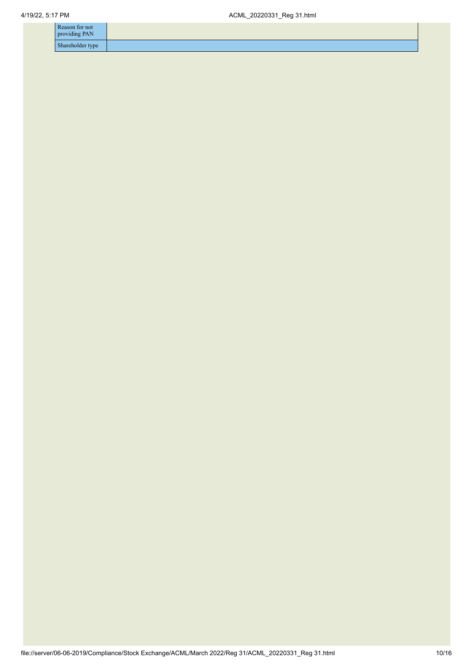| Reason for not<br>providing PAN |  |
|---------------------------------|--|
| Shareholder type                |  |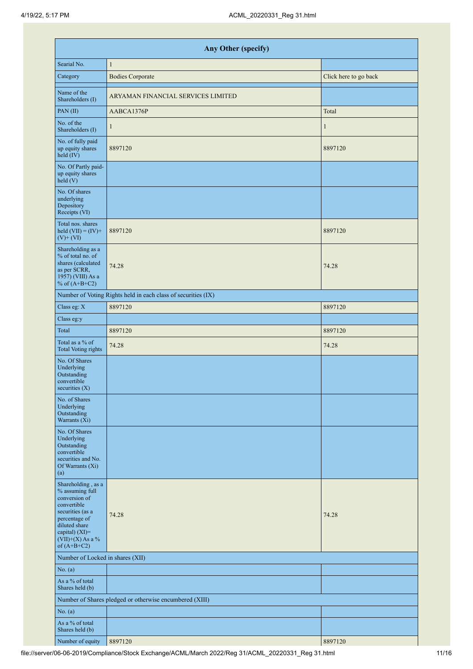|                                                                                                                                                                                      | Any Other (specify)                                           |                       |  |  |  |  |  |  |  |  |
|--------------------------------------------------------------------------------------------------------------------------------------------------------------------------------------|---------------------------------------------------------------|-----------------------|--|--|--|--|--|--|--|--|
| Searial No.                                                                                                                                                                          | $\mathbf{1}$                                                  |                       |  |  |  |  |  |  |  |  |
| Category                                                                                                                                                                             | <b>Bodies Corporate</b>                                       | Click here to go back |  |  |  |  |  |  |  |  |
| Name of the<br>Shareholders (I)                                                                                                                                                      | ARYAMAN FINANCIAL SERVICES LIMITED                            |                       |  |  |  |  |  |  |  |  |
| PAN(II)                                                                                                                                                                              | AABCA1376P                                                    | Total                 |  |  |  |  |  |  |  |  |
| No. of the<br>Shareholders (I)                                                                                                                                                       | $\mathbf{1}$                                                  | 1                     |  |  |  |  |  |  |  |  |
| No. of fully paid<br>up equity shares<br>$\text{held} (IV)$                                                                                                                          | 8897120                                                       | 8897120               |  |  |  |  |  |  |  |  |
| No. Of Partly paid-<br>up equity shares<br>held $(V)$                                                                                                                                |                                                               |                       |  |  |  |  |  |  |  |  |
| No. Of shares<br>underlying<br>Depository<br>Receipts (VI)                                                                                                                           |                                                               |                       |  |  |  |  |  |  |  |  |
| Total nos. shares<br>held $(VII) = (IV) +$<br>$(V)+(VI)$                                                                                                                             | 8897120                                                       | 8897120               |  |  |  |  |  |  |  |  |
| Shareholding as a<br>% of total no. of<br>shares (calculated<br>as per SCRR,<br>1957) (VIII) As a<br>% of $(A+B+C2)$                                                                 | 74.28                                                         | 74.28                 |  |  |  |  |  |  |  |  |
|                                                                                                                                                                                      | Number of Voting Rights held in each class of securities (IX) |                       |  |  |  |  |  |  |  |  |
| Class eg: X                                                                                                                                                                          | 8897120                                                       | 8897120               |  |  |  |  |  |  |  |  |
| Class eg:y                                                                                                                                                                           |                                                               |                       |  |  |  |  |  |  |  |  |
| Total                                                                                                                                                                                | 8897120                                                       | 8897120               |  |  |  |  |  |  |  |  |
| Total as a % of<br><b>Total Voting rights</b>                                                                                                                                        | 74.28                                                         | 74.28                 |  |  |  |  |  |  |  |  |
| No. Of Shares<br>Underlying<br>Outstanding<br>convertible<br>securities $(X)$                                                                                                        |                                                               |                       |  |  |  |  |  |  |  |  |
| No. of Shares<br>Underlying<br>Outstanding<br>Warrants (Xi)                                                                                                                          |                                                               |                       |  |  |  |  |  |  |  |  |
| No. Of Shares<br>Underlying<br>Outstanding<br>convertible<br>securities and No.<br>Of Warrants (Xi)<br>(a)                                                                           |                                                               |                       |  |  |  |  |  |  |  |  |
| Shareholding, as a<br>% assuming full<br>conversion of<br>convertible<br>securities (as a<br>percentage of<br>diluted share<br>capital) (XI)=<br>$(VII)+(X)$ As a %<br>of $(A+B+C2)$ | 74.28                                                         | 74.28                 |  |  |  |  |  |  |  |  |
| Number of Locked in shares (XII)                                                                                                                                                     |                                                               |                       |  |  |  |  |  |  |  |  |
| No. (a)                                                                                                                                                                              |                                                               |                       |  |  |  |  |  |  |  |  |
| As a % of total<br>Shares held (b)                                                                                                                                                   |                                                               |                       |  |  |  |  |  |  |  |  |
|                                                                                                                                                                                      | Number of Shares pledged or otherwise encumbered (XIII)       |                       |  |  |  |  |  |  |  |  |
| No. (a)                                                                                                                                                                              |                                                               |                       |  |  |  |  |  |  |  |  |
| As a % of total<br>Shares held (b)                                                                                                                                                   |                                                               |                       |  |  |  |  |  |  |  |  |
| Number of equity                                                                                                                                                                     | 8897120                                                       | 8897120               |  |  |  |  |  |  |  |  |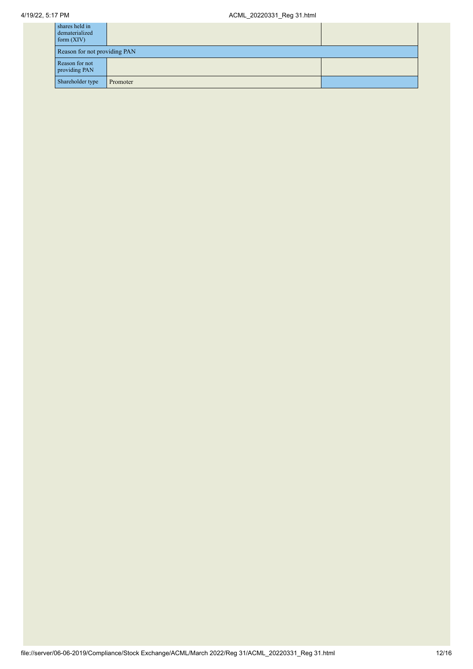| shares held in<br>dematerialized<br>form $(XIV)$ |          |  |  |
|--------------------------------------------------|----------|--|--|
| Reason for not providing PAN                     |          |  |  |
| Reason for not<br>providing PAN                  |          |  |  |
| Shareholder type                                 | Promoter |  |  |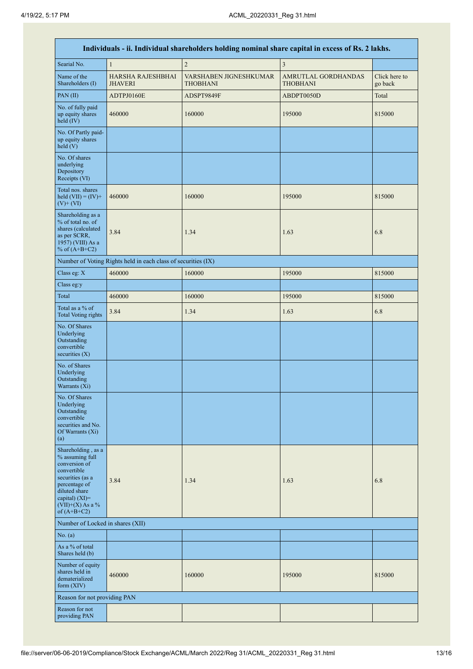|                                                                                                                                                                                         | Individuals - ii. Individual shareholders holding nominal share capital in excess of Rs. 2 lakhs. |                                    |                                        |                          |  |  |
|-----------------------------------------------------------------------------------------------------------------------------------------------------------------------------------------|---------------------------------------------------------------------------------------------------|------------------------------------|----------------------------------------|--------------------------|--|--|
| Searial No.                                                                                                                                                                             | $\mathbf{1}$                                                                                      | $\overline{2}$                     | $\overline{\mathbf{3}}$                |                          |  |  |
| Name of the<br>Shareholders (I)                                                                                                                                                         | <b>HARSHA RAJESHBHAI</b><br><b>JHAVERI</b>                                                        | VARSHABEN JIGNESHKUMAR<br>THOBHANI | AMRUTLAL GORDHANDAS<br><b>THOBHANI</b> | Click here to<br>go back |  |  |
| PAN (II)                                                                                                                                                                                | ADTPJ0160E                                                                                        | ADSPT9849F                         | ABDPT0050D                             | Total                    |  |  |
| No. of fully paid<br>up equity shares<br>held (IV)                                                                                                                                      | 460000                                                                                            | 160000                             | 195000                                 | 815000                   |  |  |
| No. Of Partly paid-<br>up equity shares<br>held (V)                                                                                                                                     |                                                                                                   |                                    |                                        |                          |  |  |
| No. Of shares<br>underlying<br>Depository<br>Receipts (VI)                                                                                                                              |                                                                                                   |                                    |                                        |                          |  |  |
| Total nos. shares<br>held $(VII) = (IV) +$<br>$(V)$ + $(VI)$                                                                                                                            | 460000                                                                                            | 160000                             | 195000                                 | 815000                   |  |  |
| Shareholding as a<br>% of total no. of<br>shares (calculated<br>as per SCRR,<br>1957) (VIII) As a<br>% of $(A+B+C2)$                                                                    | 3.84                                                                                              | 1.34                               | 1.63                                   | 6.8                      |  |  |
|                                                                                                                                                                                         | Number of Voting Rights held in each class of securities (IX)                                     |                                    |                                        |                          |  |  |
| Class eg: X                                                                                                                                                                             | 460000                                                                                            | 160000                             | 195000                                 | 815000                   |  |  |
| Class eg:y                                                                                                                                                                              |                                                                                                   |                                    |                                        |                          |  |  |
| Total                                                                                                                                                                                   | 460000                                                                                            | 160000                             | 195000                                 | 815000                   |  |  |
| Total as a % of<br><b>Total Voting rights</b>                                                                                                                                           | 3.84                                                                                              | 1.34                               | 1.63                                   | 6.8                      |  |  |
| No. Of Shares<br>Underlying<br>Outstanding<br>convertible<br>securities $(X)$                                                                                                           |                                                                                                   |                                    |                                        |                          |  |  |
| No. of Shares<br>Underlying<br>Outstanding<br>Warrants (Xi)                                                                                                                             |                                                                                                   |                                    |                                        |                          |  |  |
| No. Of Shares<br>Underlying<br>Outstanding<br>convertible<br>securities and No.<br>Of Warrants (Xi)<br>(a)                                                                              |                                                                                                   |                                    |                                        |                          |  |  |
| Shareholding, as a<br>% assuming full<br>conversion of<br>convertible<br>securities (as a<br>percentage of<br>diluted share<br>capital) $(XI)$ =<br>$(VII)+(X)$ As a %<br>of $(A+B+C2)$ | 3.84                                                                                              | 1.34                               | 1.63                                   | 6.8                      |  |  |
| Number of Locked in shares (XII)                                                                                                                                                        |                                                                                                   |                                    |                                        |                          |  |  |
| No. (a)                                                                                                                                                                                 |                                                                                                   |                                    |                                        |                          |  |  |
| As a % of total<br>Shares held (b)                                                                                                                                                      |                                                                                                   |                                    |                                        |                          |  |  |
| Number of equity<br>shares held in<br>dematerialized<br>form $(XIV)$                                                                                                                    | 460000                                                                                            | 160000                             | 195000                                 | 815000                   |  |  |
| Reason for not providing PAN                                                                                                                                                            |                                                                                                   |                                    |                                        |                          |  |  |
| Reason for not<br>providing PAN                                                                                                                                                         |                                                                                                   |                                    |                                        |                          |  |  |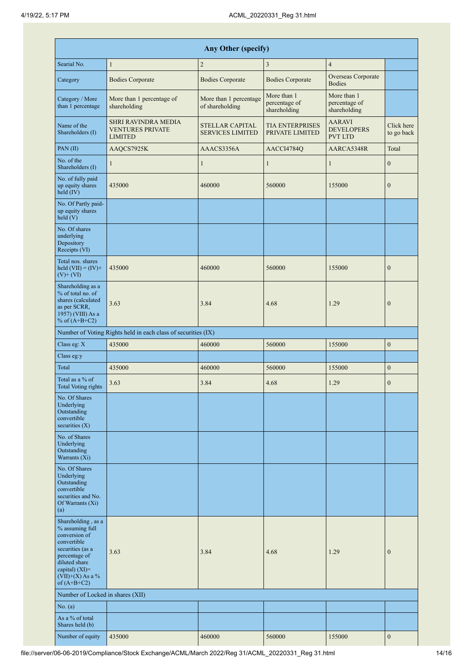| Any Other (specify)                                                                                                                                                                     |                                                                         |                                                   |                                              |                                                      |                          |
|-----------------------------------------------------------------------------------------------------------------------------------------------------------------------------------------|-------------------------------------------------------------------------|---------------------------------------------------|----------------------------------------------|------------------------------------------------------|--------------------------|
| Searial No.                                                                                                                                                                             | $\mathbf{1}$                                                            | $\sqrt{2}$                                        | $\mathfrak{Z}$                               | $\overline{4}$                                       |                          |
| Category                                                                                                                                                                                | <b>Bodies Corporate</b>                                                 | <b>Bodies Corporate</b>                           | <b>Bodies Corporate</b>                      | Overseas Corporate<br><b>Bodies</b>                  |                          |
| Category / More<br>than 1 percentage                                                                                                                                                    | More than 1 percentage of<br>shareholding                               | More than 1 percentage<br>of shareholding         | More than 1<br>percentage of<br>shareholding | More than 1<br>percentage of<br>shareholding         |                          |
| Name of the<br>Shareholders (I)                                                                                                                                                         | <b>SHRI RAVINDRA MEDIA</b><br><b>VENTURES PRIVATE</b><br><b>LIMITED</b> | <b>STELLAR CAPITAL</b><br><b>SERVICES LIMITED</b> | <b>TIA ENTERPRISES</b><br>PRIVATE LIMITED    | <b>AARAVI</b><br><b>DEVELOPERS</b><br><b>PVT LTD</b> | Click here<br>to go back |
| PAN(II)                                                                                                                                                                                 | AAQCS7925K                                                              | AAACS3356A                                        | AACCI4784Q                                   | AARCA5348R                                           | Total                    |
| No. of the<br>Shareholders (I)                                                                                                                                                          | $\mathbf{1}$                                                            | 1                                                 | $\mathbf{1}$                                 | $\mathbf{1}$                                         | $\boldsymbol{0}$         |
| No. of fully paid<br>up equity shares<br>$held$ (IV)                                                                                                                                    | 435000                                                                  | 460000                                            | 560000                                       | 155000                                               | $\boldsymbol{0}$         |
| No. Of Partly paid-<br>up equity shares<br>held $(V)$                                                                                                                                   |                                                                         |                                                   |                                              |                                                      |                          |
| No. Of shares<br>underlying<br>Depository<br>Receipts (VI)                                                                                                                              |                                                                         |                                                   |                                              |                                                      |                          |
| Total nos, shares<br>held $(VII) = (IV) +$<br>$(V)$ + $(VI)$                                                                                                                            | 435000                                                                  | 460000                                            | 560000                                       | 155000                                               | $\boldsymbol{0}$         |
| Shareholding as a<br>% of total no. of<br>shares (calculated<br>as per SCRR,<br>1957) (VIII) As a<br>% of $(A+B+C2)$                                                                    | 3.63                                                                    | 3.84                                              | 4.68                                         | 1.29                                                 | $\overline{0}$           |
|                                                                                                                                                                                         | Number of Voting Rights held in each class of securities (IX)           |                                                   |                                              |                                                      |                          |
| Class eg: X                                                                                                                                                                             | 435000                                                                  | 460000                                            | 560000                                       | 155000                                               | $\boldsymbol{0}$         |
| Class eg:y                                                                                                                                                                              |                                                                         |                                                   |                                              |                                                      |                          |
| Total                                                                                                                                                                                   | 435000                                                                  | 460000                                            | 560000                                       | 155000                                               | $\boldsymbol{0}$         |
| Total as a % of<br><b>Total Voting rights</b>                                                                                                                                           | 3.63                                                                    | 3.84                                              | 4.68                                         | 1.29                                                 | $\mathbf{0}$             |
| No. Of Shares<br>Underlying<br>Outstanding<br>convertible<br>securities $(X)$                                                                                                           |                                                                         |                                                   |                                              |                                                      |                          |
| No. of Shares<br>Underlying<br>Outstanding<br>Warrants $(X_i)$                                                                                                                          |                                                                         |                                                   |                                              |                                                      |                          |
| No. Of Shares<br>Underlying<br>Outstanding<br>convertible<br>securities and No.<br>Of Warrants (Xi)<br>(a)                                                                              |                                                                         |                                                   |                                              |                                                      |                          |
| Shareholding, as a<br>% assuming full<br>conversion of<br>convertible<br>securities (as a<br>percentage of<br>diluted share<br>capital) $(XI)$ =<br>$(VII)+(X)$ As a %<br>of $(A+B+C2)$ | 3.63                                                                    | 3.84                                              | 4.68                                         | 1.29                                                 | $\boldsymbol{0}$         |
| Number of Locked in shares (XII)                                                                                                                                                        |                                                                         |                                                   |                                              |                                                      |                          |
| No. (a)                                                                                                                                                                                 |                                                                         |                                                   |                                              |                                                      |                          |
| As a % of total<br>Shares held (b)                                                                                                                                                      |                                                                         |                                                   |                                              |                                                      |                          |
| Number of equity                                                                                                                                                                        | 435000                                                                  | 460000                                            | 560000                                       | 155000                                               | $\boldsymbol{0}$         |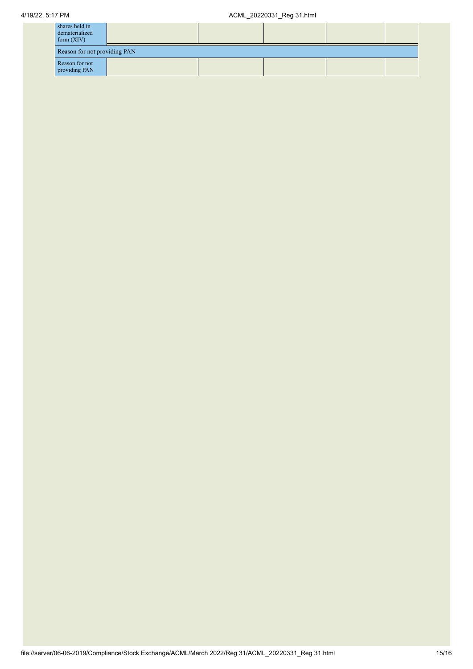| shares held in<br>dematerialized<br>form $(XIV)$ |  |  |  |  |  |
|--------------------------------------------------|--|--|--|--|--|
| Reason for not providing PAN                     |  |  |  |  |  |
| Reason for not<br>providing PAN                  |  |  |  |  |  |